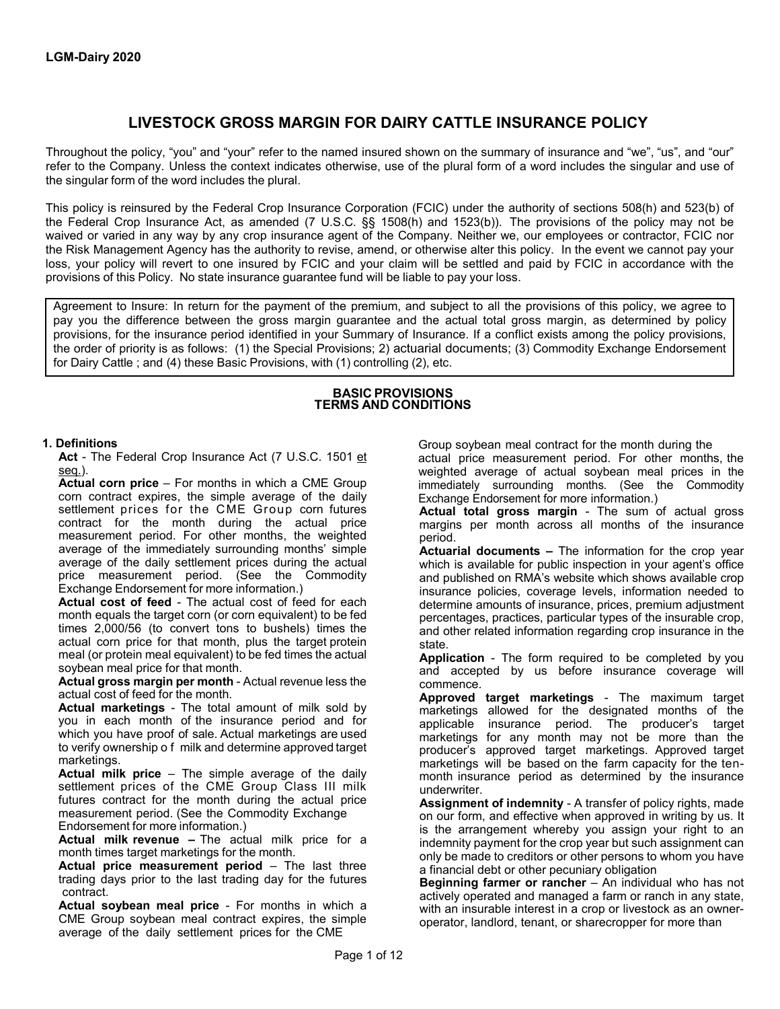# **LIVESTOCK GROSS MARGIN FOR DAIRY CATTLE INSURANCE POLICY**

Throughout the policy, "you" and "your" refer to the named insured shown on the summary of insurance and "we", "us", and "our" refer to the Company. Unless the context indicates otherwise, use of the plural form of a word includes the singular and use of the singular form of the word includes the plural.

This policy is reinsured by the Federal Crop Insurance Corporation (FCIC) under the authority of sections 508(h) and 523(b) of the Federal Crop Insurance Act, as amended (7 U.S.C. §§ 1508(h) and 1523(b)). The provisions of the policy may not be waived or varied in any way by any crop insurance agent of the Company. Neither we, our employees or contractor, FCIC nor the Risk Management Agency has the authority to revise, amend, or otherwise alter this policy. In the event we cannot pay your loss, your policy will revert to one insured by FCIC and your claim will be settled and paid by FCIC in accordance with the provisions of this Policy. No state insurance guarantee fund will be liable to pay your loss.

Agreement to Insure: In return for the payment of the premium, and subject to all the provisions of this policy, we agree to pay you the difference between the gross margin guarantee and the actual total gross margin, as determined by policy provisions, for the insurance period identified in your Summary of Insurance. If a conflict exists among the policy provisions, the order of priority is as follows: (1) the Special Provisions; 2) actuarial documents; (3) Commodity Exchange Endorsement for Dairy Cattle ; and (4) these Basic Provisions, with (1) controlling (2), etc.

#### **BASIC PROVISIONS TERMS AND CONDITIONS**

#### **1. Definitions**

**Act** - The Federal Crop Insurance Act (7 U.S.C. 1501 et seq.).

**Actual corn price** – For months in which a CME Group corn contract expires, the simple average of the daily settlement prices for the CME Group corn futures contract for the month during the actual price measurement period. For other months, the weighted average of the immediately surrounding months' simple average of the daily settlement prices during the actual price measurement period. (See the Commodity Exchange Endorsement for more information.)

**Actual cost of feed** - The actual cost of feed for each month equals the target corn (or corn equivalent) to be fed times 2,000/56 (to convert tons to bushels) times the actual corn price for that month, plus the target protein meal (or protein meal equivalent) to be fed times the actual soybean meal price for that month.

**Actual gross margin per month** - Actual revenue less the actual cost of feed for the month.

**Actual marketings** - The total amount of milk sold by you in each month of the insurance period and for which you have proof of sale. Actual marketings are used to verify ownership o f milk and determine approved target marketings.

**Actual milk price** – The simple average of the daily settlement prices of the CME Group Class III milk futures contract for the month during the actual price measurement period. (See the Commodity Exchange Endorsement for more information.)

**Actual milk revenue –** The actual milk price for a month times target marketings for the month.

**Actual price measurement period** – The last three trading days prior to the last trading day for the futures contract.

**Actual soybean meal price** - For months in which a CME Group soybean meal contract expires, the simple average of the daily settlement prices for the CME

Group soybean meal contract for the month during the

actual price measurement period. For other months, the weighted average of actual soybean meal prices in the immediately surrounding months. (See the Commodity Exchange Endorsement for more information.)

**Actual total gross margin** - The sum of actual gross margins per month across all months of the insurance period.

**Actuarial documents –** The information for the crop year which is available for public inspection in your agent's office and published on RMA's website which shows available crop insurance policies, coverage levels, information needed to determine amounts of insurance, prices, premium adjustment percentages, practices, particular types of the insurable crop, and other related information regarding crop insurance in the state.

**Application** - The form required to be completed by you and accepted by us before insurance coverage will commence.

**Approved target marketings** - The maximum target marketings allowed for the designated months of the applicable insurance period. The producer's target marketings for any month may not be more than the producer's approved target marketings. Approved target marketings will be based on the farm capacity for the tenmonth insurance period as determined by the insurance underwriter.

**Assignment of indemnity** - A transfer of policy rights, made on our form, and effective when approved in writing by us. It is the arrangement whereby you assign your right to an indemnity payment for the crop year but such assignment can only be made to creditors or other persons to whom you have a financial debt or other pecuniary obligation

**Beginning farmer or rancher** – An individual who has not actively operated and managed a farm or ranch in any state, with an insurable interest in a crop or livestock as an owneroperator, landlord, tenant, or sharecropper for more than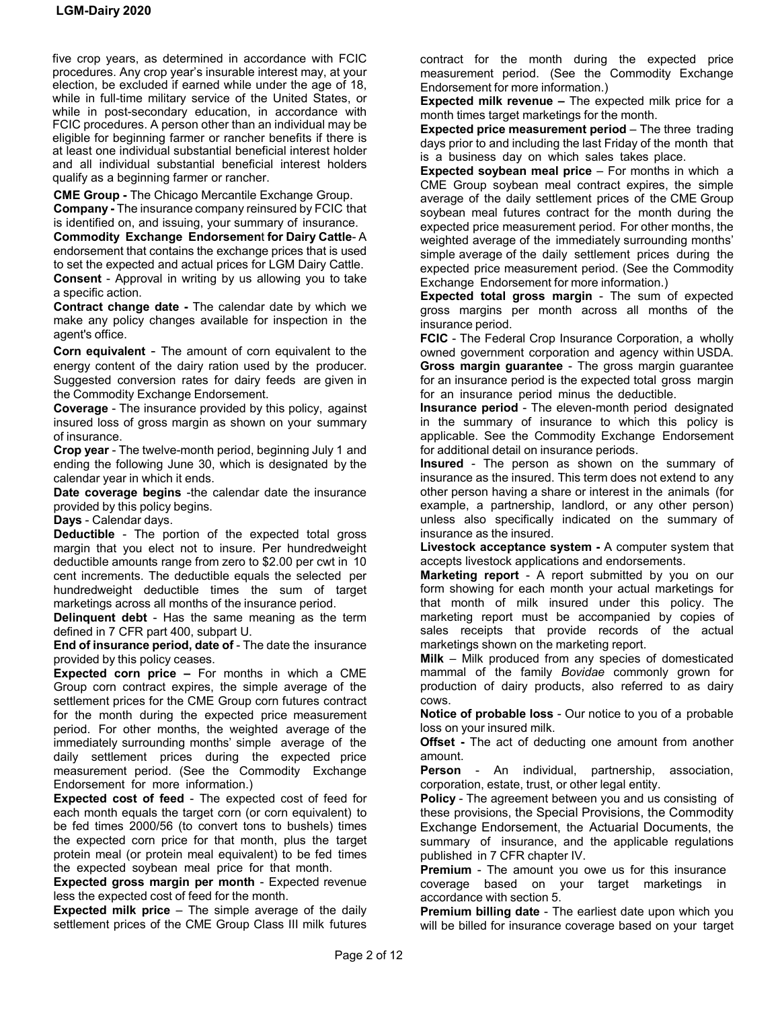five crop years, as determined in accordance with FCIC procedures. Any crop year's insurable interest may, at your election, be excluded if earned while under the age of 18, while in full-time military service of the United States, or while in post-secondary education, in accordance with FCIC procedures. A person other than an individual may be eligible for beginning farmer or rancher benefits if there is at least one individual substantial beneficial interest holder and all individual substantial beneficial interest holders qualify as a beginning farmer or rancher.

**CME Group -** The Chicago Mercantile Exchange Group.

**Company -** The insurance company reinsured by FCIC that is identified on, and issuing, your summary of insurance. **Commodity Exchange Endorsemen**t **for Dairy Cattle**- A

endorsement that contains the exchange prices that is used to set the expected and actual prices for LGM Dairy Cattle. **Consent** - Approval in writing by us allowing you to take a specific action.

**Contract change date -** The calendar date by which we make any policy changes available for inspection in the agent's office.

**Corn equivalent** - The amount of corn equivalent to the energy content of the dairy ration used by the producer. Suggested conversion rates for dairy feeds are given in the Commodity Exchange Endorsement.

**Coverage** - The insurance provided by this policy, against insured loss of gross margin as shown on your summary of insurance.

**Crop year** - The twelve-month period, beginning July 1 and ending the following June 30, which is designated by the calendar year in which it ends.

**Date coverage begins** -the calendar date the insurance provided by this policy begins.

**Days** - Calendar days.

**Deductible** - The portion of the expected total gross margin that you elect not to insure. Per hundredweight deductible amounts range from zero to \$2.00 per cwt in 10 cent increments. The deductible equals the selected per hundredweight deductible times the sum of target marketings across all months of the insurance period.

**Delinquent debt** - Has the same meaning as the term defined in 7 CFR part 400, subpart U.

**End of insurance period, date of** - The date the insurance provided by this policy ceases.

**Expected corn price –** For months in which a CME Group corn contract expires, the simple average of the settlement prices for the CME Group corn futures contract for the month during the expected price measurement period. For other months, the weighted average of the immediately surrounding months' simple average of the daily settlement prices during the expected price measurement period. (See the Commodity Exchange Endorsement for more information.)

**Expected cost of feed** - The expected cost of feed for each month equals the target corn (or corn equivalent) to be fed times 2000/56 (to convert tons to bushels) times the expected corn price for that month, plus the target protein meal (or protein meal equivalent) to be fed times the expected soybean meal price for that month.

**Expected gross margin per month** - Expected revenue less the expected cost of feed for the month.

**Expected milk price** – The simple average of the daily settlement prices of the CME Group Class III milk futures contract for the month during the expected price measurement period. (See the Commodity Exchange Endorsement for more information.)

**Expected milk revenue –** The expected milk price for a month times target marketings for the month.

**Expected price measurement period** – The three trading days prior to and including the last Friday of the month that is a business day on which sales takes place.

**Expected soybean meal price** – For months in which a CME Group soybean meal contract expires, the simple average of the daily settlement prices of the CME Group soybean meal futures contract for the month during the expected price measurement period. For other months, the weighted average of the immediately surrounding months' simple average of the daily settlement prices during the expected price measurement period. (See the Commodity Exchange Endorsement for more information.)

**Expected total gross margin** - The sum of expected gross margins per month across all months of the insurance period.

**FCIC** - The Federal Crop Insurance Corporation, a wholly owned government corporation and agency within USDA. **Gross margin guarantee** - The gross margin guarantee for an insurance period is the expected total gross margin for an insurance period minus the deductible.

**Insurance period** - The eleven-month period designated in the summary of insurance to which this policy is applicable. See the Commodity Exchange Endorsement for additional detail on insurance periods.

**Insured** - The person as shown on the summary of insurance as the insured. This term does not extend to any other person having a share or interest in the animals (for example, a partnership, landlord, or any other person) unless also specifically indicated on the summary of insurance as the insured.

**Livestock acceptance system -** A computer system that accepts livestock applications and endorsements.

**Marketing report** - A report submitted by you on our form showing for each month your actual marketings for that month of milk insured under this policy. The marketing report must be accompanied by copies of sales receipts that provide records of the actual marketings shown on the marketing report.

**Milk** – Milk produced from any species of domesticated mammal of the family *Bovidae* commonly grown for production of dairy products, also referred to as dairy cows.

**Notice of probable loss** - Our notice to you of a probable loss on your insured milk.

**Offset -** The act of deducting one amount from another amount.

**Person** - An individual, partnership, association, corporation, estate, trust, or other legal entity.

**Policy** - The agreement between you and us consisting of these provisions, the Special Provisions, the Commodity Exchange Endorsement, the Actuarial Documents, the summary of insurance, and the applicable regulations published in 7 CFR chapter IV.

**Premium** - The amount you owe us for this insurance coverage based on your target marketings in accordance with section 5.

**Premium billing date** - The earliest date upon which you will be billed for insurance coverage based on your target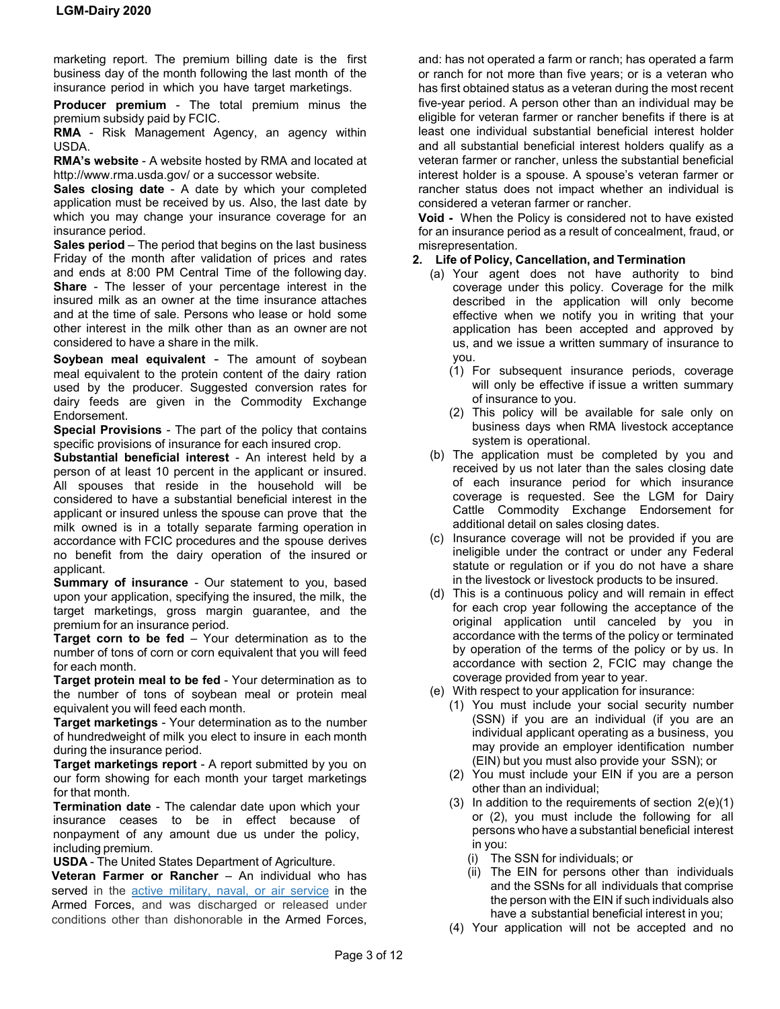marketing report. The premium billing date is the first business day of the month following the last month of the insurance period in which you have target marketings.

**Producer premium** - The total premium minus the premium subsidy paid by FCIC.

**RMA** - Risk Management Agency, an agency within USDA.

**RMA's website** - A website hosted by RMA and located at http://www.rma.usda.gov/ or a successor website.

**Sales closing date** - A date by which your completed application must be received by us. Also, the last date by which you may change your insurance coverage for an insurance period.

**Sales period** – The period that begins on the last business Friday of the month after validation of prices and rates and ends at 8:00 PM Central Time of the following day. **Share** - The lesser of your percentage interest in the insured milk as an owner at the time insurance attaches and at the time of sale. Persons who lease or hold some other interest in the milk other than as an owner are not considered to have a share in the milk.

**Soybean meal equivalent** - The amount of soybean meal equivalent to the protein content of the dairy ration used by the producer. Suggested conversion rates for dairy feeds are given in the Commodity Exchange Endorsement.

**Special Provisions** - The part of the policy that contains specific provisions of insurance for each insured crop.

**Substantial beneficial interest** - An interest held by a person of at least 10 percent in the applicant or insured. All spouses that reside in the household will be considered to have a substantial beneficial interest in the applicant or insured unless the spouse can prove that the milk owned is in a totally separate farming operation in accordance with FCIC procedures and the spouse derives no benefit from the dairy operation of the insured or applicant.

**Summary of insurance** - Our statement to you, based upon your application, specifying the insured, the milk, the target marketings, gross margin guarantee, and the premium for an insurance period.

**Target corn to be fed** – Your determination as to the number of tons of corn or corn equivalent that you will feed for each month.

**Target protein meal to be fed** - Your determination as to the number of tons of soybean meal or protein meal equivalent you will feed each month.

**Target marketings** - Your determination as to the number of hundredweight of milk you elect to insure in each month during the insurance period.

**Target marketings report** - A report submitted by you on our form showing for each month your target marketings for that month.

**Termination date** - The calendar date upon which your insurance ceases to be in effect because of nonpayment of any amount due us under the policy, including premium.

**USDA** - The United States Department of Agriculture.

**Veteran Farmer or Rancher** – An individual who has served in the [active military, naval, or air service](https://www.law.cornell.edu/definitions/uscode.php?width=840&height=800&iframe=true&def_id=38-USC-1994457193-746307971&term_occur=1&term_src=title:38:part:I:chapter:1:section:101) in the Armed Forces, and was discharged or released under conditions other than dishonorable in the Armed Forces,

and: has not operated a farm or ranch; has operated a farm or ranch for not more than five years; or is a veteran who has first obtained status as a veteran during the most recent five-year period. A person other than an individual may be eligible for veteran farmer or rancher benefits if there is at least one individual substantial beneficial interest holder and all substantial beneficial interest holders qualify as a veteran farmer or rancher, unless the substantial beneficial interest holder is a spouse. A spouse's veteran farmer or rancher status does not impact whether an individual is considered a veteran farmer or rancher.

**Void -** When the Policy is considered not to have existed for an insurance period as a result of concealment, fraud, or misrepresentation.

# **2. Life of Policy, Cancellation, and Termination**

- (a) Your agent does not have authority to bind coverage under this policy. Coverage for the milk described in the application will only become effective when we notify you in writing that your application has been accepted and approved by us, and we issue a written summary of insurance to you.
	- (1) For subsequent insurance periods, coverage will only be effective if issue a written summary of insurance to you.
	- (2) This policy will be available for sale only on business days when RMA livestock acceptance system is operational.
- (b) The application must be completed by you and received by us not later than the sales closing date of each insurance period for which insurance coverage is requested. See the LGM for Dairy Cattle Commodity Exchange Endorsement for additional detail on sales closing dates.
- (c) Insurance coverage will not be provided if you are ineligible under the contract or under any Federal statute or regulation or if you do not have a share in the livestock or livestock products to be insured.
- (d) This is a continuous policy and will remain in effect for each crop year following the acceptance of the original application until canceled by you in accordance with the terms of the policy or terminated by operation of the terms of the policy or by us. In accordance with section 2, FCIC may change the coverage provided from year to year.
- (e) With respect to your application for insurance:
	- (1) You must include your social security number (SSN) if you are an individual (if you are an individual applicant operating as a business, you may provide an employer identification number (EIN) but you must also provide your SSN); or
	- (2) You must include your EIN if you are a person other than an individual;
	- $(3)$  In addition to the requirements of section  $2(e)(1)$ or (2), you must include the following for all persons who have a substantial beneficial interest in you:
		- (i) The SSN for individuals; or
		- (ii) The EIN for persons other than individuals and the SSNs for all individuals that comprise the person with the EIN if such individuals also have a substantial beneficial interest in you;
	- (4) Your application will not be accepted and no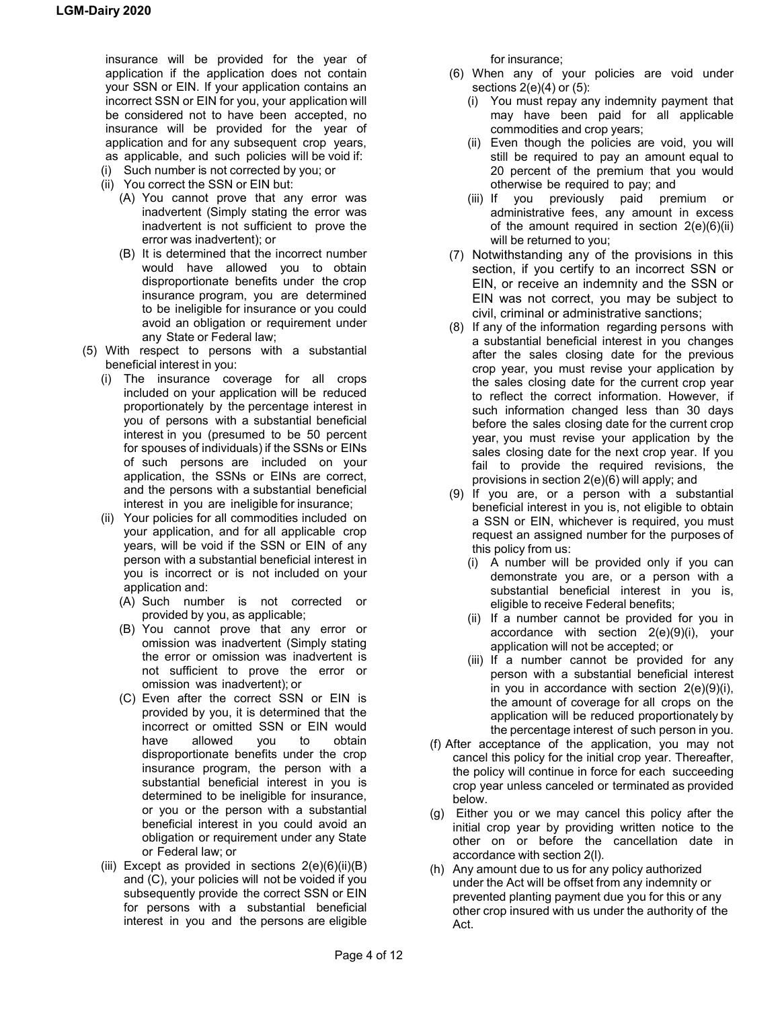insurance will be provided for the year of application if the application does not contain your SSN or EIN. If your application contains an incorrect SSN or EIN for you, your application will be considered not to have been accepted, no insurance will be provided for the year of application and for any subsequent crop years, as applicable, and such policies will be void if:

- (i) Such number is not corrected by you; or
- (ii) You correct the SSN or EIN but:
	- (A) You cannot prove that any error was inadvertent (Simply stating the error was inadvertent is not sufficient to prove the error was inadvertent); or
	- (B) It is determined that the incorrect number would have allowed you to obtain disproportionate benefits under the crop insurance program, you are determined to be ineligible for insurance or you could avoid an obligation or requirement under any State or Federal law;
- (5) With respect to persons with a substantial beneficial interest in you:
	- (i) The insurance coverage for all crops included on your application will be reduced proportionately by the percentage interest in you of persons with a substantial beneficial interest in you (presumed to be 50 percent for spouses of individuals) if the SSNs or EINs of such persons are included on your application, the SSNs or EINs are correct, and the persons with a substantial beneficial interest in you are ineligible for insurance;
	- (ii) Your policies for all commodities included on your application, and for all applicable crop years, will be void if the SSN or EIN of any person with a substantial beneficial interest in you is incorrect or is not included on your application and:
		- (A) Such number is not corrected or provided by you, as applicable;
		- (B) You cannot prove that any error or omission was inadvertent (Simply stating the error or omission was inadvertent is not sufficient to prove the error or omission was inadvertent); or
		- (C) Even after the correct SSN or EIN is provided by you, it is determined that the incorrect or omitted SSN or EIN would<br>have allowed you to obtain have allowed you to obtain disproportionate benefits under the crop insurance program, the person with a substantial beneficial interest in you is determined to be ineligible for insurance, or you or the person with a substantial beneficial interest in you could avoid an obligation or requirement under any State or Federal law; or
	- (iii) Except as provided in sections  $2(e)(6)(ii)(B)$ and (C), your policies will not be voided if you subsequently provide the correct SSN or EIN for persons with a substantial beneficial interest in you and the persons are eligible

for insurance;

- (6) When any of your policies are void under sections 2(e)(4) or (5):
	- (i) You must repay any indemnity payment that may have been paid for all applicable commodities and crop years;
	- (ii) Even though the policies are void, you will still be required to pay an amount equal to 20 percent of the premium that you would otherwise be required to pay; and
	- (iii) If you previously paid premium or administrative fees, any amount in excess of the amount required in section  $2(e)(6)(ii)$ will be returned to you;
- (7) Notwithstanding any of the provisions in this section, if you certify to an incorrect SSN or EIN, or receive an indemnity and the SSN or EIN was not correct, you may be subject to civil, criminal or administrative sanctions;
- (8) If any of the information regarding persons with a substantial beneficial interest in you changes after the sales closing date for the previous crop year, you must revise your application by the sales closing date for the current crop year to reflect the correct information. However, if such information changed less than 30 days before the sales closing date for the current crop year, you must revise your application by the sales closing date for the next crop year. If you fail to provide the required revisions, the provisions in section 2(e)(6) will apply; and
- (9) If you are, or a person with a substantial beneficial interest in you is, not eligible to obtain a SSN or EIN, whichever is required, you must request an assigned number for the purposes of this policy from us:
	- (i) A number will be provided only if you can demonstrate you are, or a person with a substantial beneficial interest in you is, eligible to receive Federal benefits;
	- (ii) If a number cannot be provided for you in accordance with section 2(e)(9)(i), your application will not be accepted; or
	- (iii) If a number cannot be provided for any person with a substantial beneficial interest in you in accordance with section  $2(e)(9)(i)$ , the amount of coverage for all crops on the application will be reduced proportionately by the percentage interest of such person in you.
- (f) After acceptance of the application, you may not cancel this policy for the initial crop year. Thereafter, the policy will continue in force for each succeeding crop year unless canceled or terminated as provided below.
- (g) Either you or we may cancel this policy after the initial crop year by providing written notice to the other on or before the cancellation date in accordance with section 2(l).
- (h) Any amount due to us for any policy authorized under the Act will be offset from any indemnity or prevented planting payment due you for this or any other crop insured with us under the authority of the Act.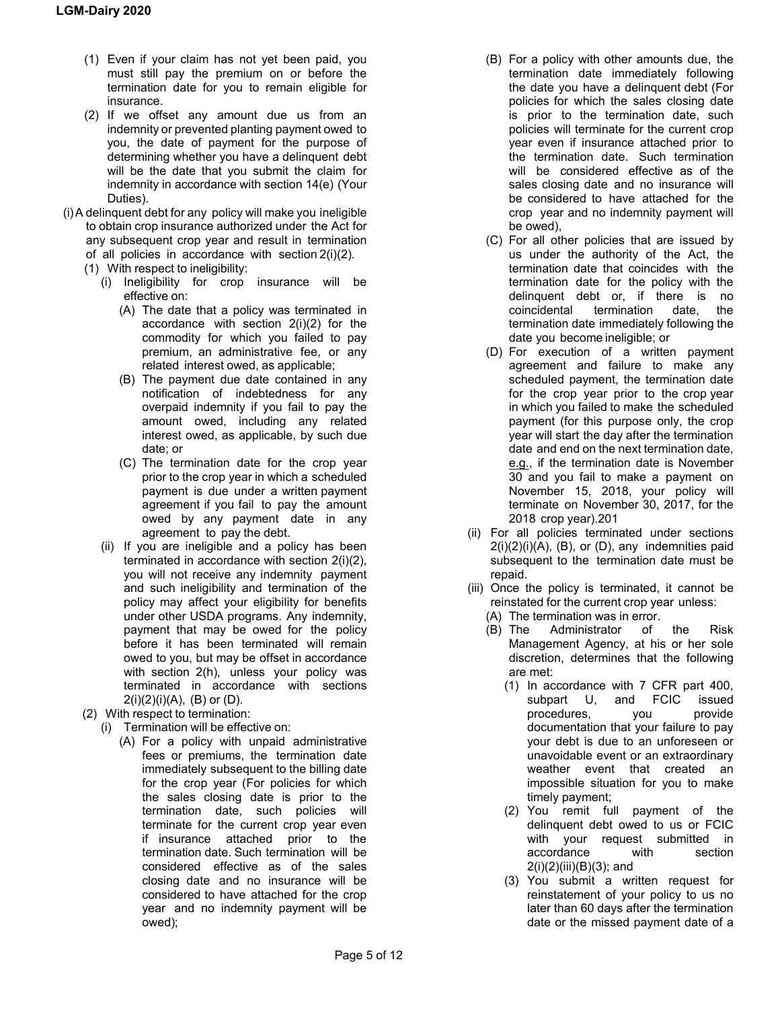- (1) Even if your claim has not yet been paid, you must still pay the premium on or before the termination date for you to remain eligible for insurance.
- (2) If we offset any amount due us from an indemnity or prevented planting payment owed to you, the date of payment for the purpose of determining whether you have a delinquent debt will be the date that you submit the claim for indemnity in accordance with section 14(e) (Your Duties).
- (i)A delinquent debt for any policy will make you ineligible to obtain crop insurance authorized under the Act for any subsequent crop year and result in termination of all policies in accordance with section 2(i)(2).
	- (1) With respect to ineligibility:
		- (i) Ineligibility for crop insurance will be effective on:
			- (A) The date that a policy was terminated in accordance with section 2(i)(2) for the commodity for which you failed to pay premium, an administrative fee, or any related interest owed, as applicable;
			- (B) The payment due date contained in any notification of indebtedness for any overpaid indemnity if you fail to pay the amount owed, including any related interest owed, as applicable, by such due date; or
			- (C) The termination date for the crop year prior to the crop year in which a scheduled payment is due under a written payment agreement if you fail to pay the amount owed by any payment date in any agreement to pay the debt.
		- (ii) If you are ineligible and a policy has been terminated in accordance with section 2(i)(2), you will not receive any indemnity payment and such ineligibility and termination of the policy may affect your eligibility for benefits under other USDA programs. Any indemnity, payment that may be owed for the policy before it has been terminated will remain owed to you, but may be offset in accordance with section 2(h), unless your policy was terminated in accordance with sections  $2(i)(2)(i)(A)$ , (B) or (D).
	- (2) With respect to termination:
		- (i) Termination will be effective on:
			- (A) For a policy with unpaid administrative fees or premiums, the termination date immediately subsequent to the billing date for the crop year (For policies for which the sales closing date is prior to the termination date, such policies will terminate for the current crop year even if insurance attached prior to the termination date. Such termination will be considered effective as of the sales closing date and no insurance will be considered to have attached for the crop year and no indemnity payment will be owed);
- (B) For a policy with other amounts due, the termination date immediately following the date you have a delinquent debt (For policies for which the sales closing date is prior to the termination date, such policies will terminate for the current crop year even if insurance attached prior to the termination date. Such termination will be considered effective as of the sales closing date and no insurance will be considered to have attached for the crop year and no indemnity payment will be owed),
- (C) For all other policies that are issued by us under the authority of the Act, the termination date that coincides with the termination date for the policy with the delinquent debt or, if there is no coincidental termination date, the termination date immediately following the date you become ineligible; or
- (D) For execution of a written payment agreement and failure to make any scheduled payment, the termination date for the crop year prior to the crop year in which you failed to make the scheduled payment (for this purpose only, the crop year will start the day after the termination date and end on the next termination date, e.g., if the termination date is November 30 and you fail to make a payment on November 15, 2018, your policy will terminate on November 30, 2017, for the 2018 crop year).201
- (ii) For all policies terminated under sections  $2(i)(2)(i)(A)$ ,  $(B)$ , or  $(D)$ , any indemnities paid subsequent to the termination date must be repaid.
- (iii) Once the policy is terminated, it cannot be reinstated for the current crop year unless:
	- (A) The termination was in error.<br>(B) The Administrator of
	- Administrator of the Risk Management Agency, at his or her sole discretion, determines that the following are met:
		- (1) In accordance with 7 CFR part 400, subpart U, and FCIC issued<br>procedures, you provide procedures, you provide documentation that your failure to pay your debt is due to an unforeseen or unavoidable event or an extraordinary weather event that created an impossible situation for you to make timely payment;
		- (2) You remit full payment of the delinquent debt owed to us or FCIC with your request submitted in accordance with section 2(i)(2)(iii)(B)(3); and
		- (3) You submit a written request for reinstatement of your policy to us no later than 60 days after the termination date or the missed payment date of a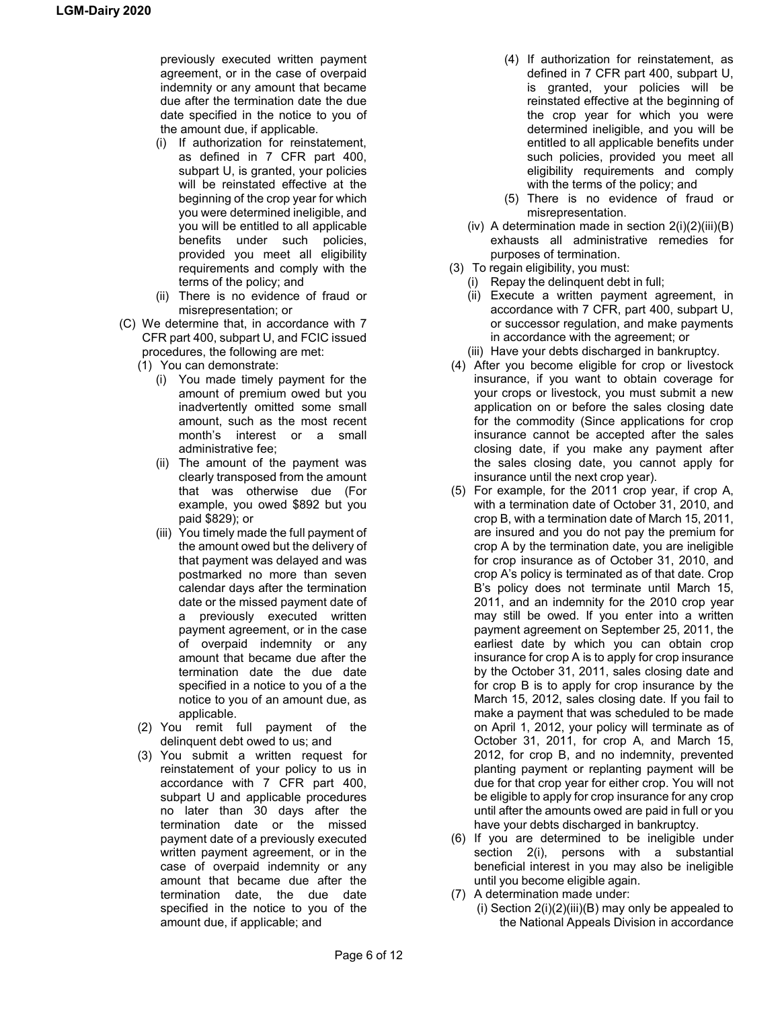previously executed written payment agreement, or in the case of overpaid indemnity or any amount that became due after the termination date the due date specified in the notice to you of the amount due, if applicable.

- (i) If authorization for reinstatement, as defined in 7 CFR part 400, subpart U, is granted, your policies will be reinstated effective at the beginning of the crop year for which you were determined ineligible, and you will be entitled to all applicable benefits under such policies, provided you meet all eligibility requirements and comply with the terms of the policy; and
- (ii) There is no evidence of fraud or misrepresentation; or
- (C) We determine that, in accordance with 7 CFR part 400, subpart U, and FCIC issued procedures, the following are met:
	- (1) You can demonstrate:
		- (i) You made timely payment for the amount of premium owed but you inadvertently omitted some small amount, such as the most recent month's interest or a small administrative fee;
		- (ii) The amount of the payment was clearly transposed from the amount that was otherwise due (For example, you owed \$892 but you paid \$829); or
		- (iii) You timely made the full payment of the amount owed but the delivery of that payment was delayed and was postmarked no more than seven calendar days after the termination date or the missed payment date of a previously executed written payment agreement, or in the case of overpaid indemnity or any amount that became due after the termination date the due date specified in a notice to you of a the notice to you of an amount due, as applicable.
	- (2) You remit full payment of the delinquent debt owed to us; and
	- (3) You submit a written request for reinstatement of your policy to us in accordance with 7 CFR part 400, subpart U and applicable procedures no later than 30 days after the termination date or the missed payment date of a previously executed written payment agreement, or in the case of overpaid indemnity or any amount that became due after the termination date, the due date specified in the notice to you of the amount due, if applicable; and
- (4) If authorization for reinstatement, as defined in 7 CFR part 400, subpart U, is granted, your policies will be reinstated effective at the beginning of the crop year for which you were determined ineligible, and you will be entitled to all applicable benefits under such policies, provided you meet all eligibility requirements and comply with the terms of the policy; and
- (5) There is no evidence of fraud or misrepresentation.
- (iv) A determination made in section  $2(i)(2)(iii)(B)$ exhausts all administrative remedies for purposes of termination.
- (3) To regain eligibility, you must:
	- (i) Repay the delinquent debt in full;
	- (ii) Execute a written payment agreement, in accordance with 7 CFR, part 400, subpart U, or successor regulation, and make payments in accordance with the agreement; or
	- (iii) Have your debts discharged in bankruptcy.
- (4) After you become eligible for crop or livestock insurance, if you want to obtain coverage for your crops or livestock, you must submit a new application on or before the sales closing date for the commodity (Since applications for crop insurance cannot be accepted after the sales closing date, if you make any payment after the sales closing date, you cannot apply for insurance until the next crop year).
- (5) For example, for the 2011 crop year, if crop A, with a termination date of October 31, 2010, and crop B, with a termination date of March 15, 2011, are insured and you do not pay the premium for crop A by the termination date, you are ineligible for crop insurance as of October 31, 2010, and crop A's policy is terminated as of that date. Crop B's policy does not terminate until March 15, 2011, and an indemnity for the 2010 crop year may still be owed. If you enter into a written payment agreement on September 25, 2011, the earliest date by which you can obtain crop insurance for crop A is to apply for crop insurance by the October 31, 2011, sales closing date and for crop B is to apply for crop insurance by the March 15, 2012, sales closing date. If you fail to make a payment that was scheduled to be made on April 1, 2012, your policy will terminate as of October 31, 2011, for crop A, and March 15, 2012, for crop B, and no indemnity, prevented planting payment or replanting payment will be due for that crop year for either crop. You will not be eligible to apply for crop insurance for any crop until after the amounts owed are paid in full or you have your debts discharged in bankruptcy.
- (6) If you are determined to be ineligible under section 2(i), persons with a substantial beneficial interest in you may also be ineligible until you become eligible again.
- (7) A determination made under:
	- (i) Section  $2(i)(2)(iii)(B)$  may only be appealed to the National Appeals Division in accordance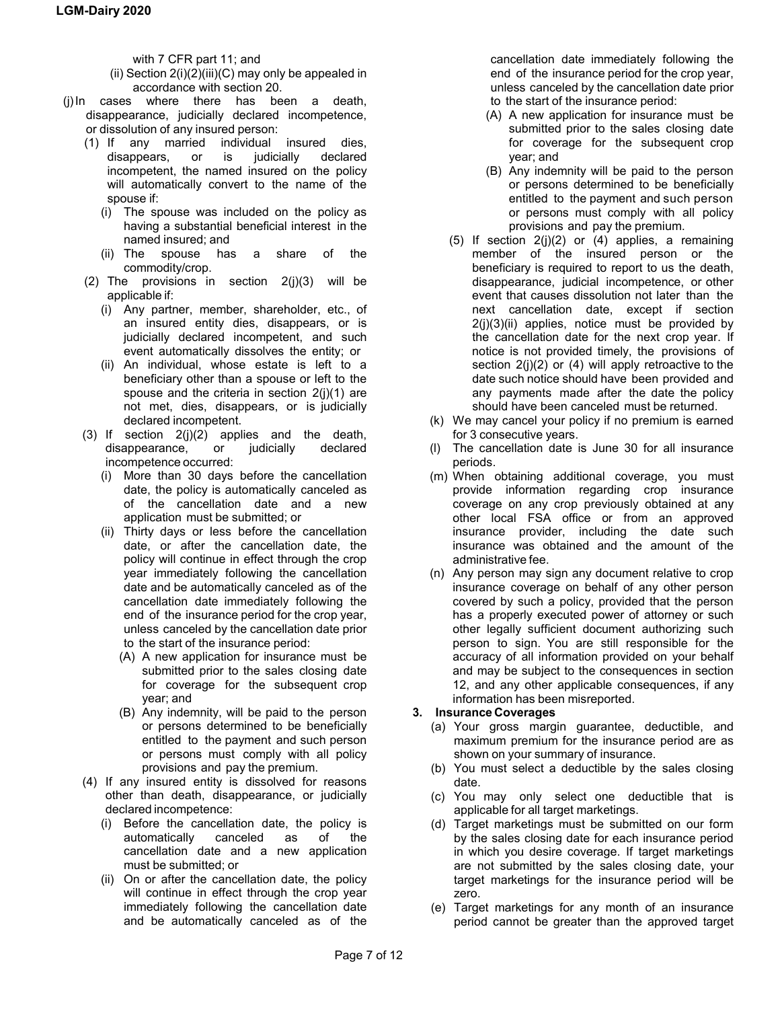with 7 CFR part 11; and

- (ii) Section  $2(i)(2)(iii)(C)$  may only be appealed in accordance with section 20.
- (j)In cases where there has been a death, disappearance, judicially declared incompetence, or dissolution of any insured person:
	- (1) If any married individual insured dies, disappears, or is judicially declared incompetent, the named insured on the policy will automatically convert to the name of the spouse if:
		- (i) The spouse was included on the policy as having a substantial beneficial interest in the named insured; and
		- (ii) The spouse has a share of the commodity/crop.
	- (2) The provisions in section  $2(i)(3)$  will be applicable if:
		- (i) Any partner, member, shareholder, etc., of an insured entity dies, disappears, or is judicially declared incompetent, and such event automatically dissolves the entity; or
		- (ii) An individual, whose estate is left to a beneficiary other than a spouse or left to the spouse and the criteria in section 2(j)(1) are not met, dies, disappears, or is judicially declared incompetent.
	- (3) If section  $2(j)(2)$  applies and the death, disappearance, or judicially declared incompetence occurred:
		- (i) More than 30 days before the cancellation date, the policy is automatically canceled as of the cancellation date and a new application must be submitted; or
		- (ii) Thirty days or less before the cancellation date, or after the cancellation date, the policy will continue in effect through the crop year immediately following the cancellation date and be automatically canceled as of the cancellation date immediately following the end of the insurance period for the crop year, unless canceled by the cancellation date prior to the start of the insurance period:
			- (A) A new application for insurance must be submitted prior to the sales closing date for coverage for the subsequent crop year; and
			- (B) Any indemnity, will be paid to the person or persons determined to be beneficially entitled to the payment and such person or persons must comply with all policy provisions and pay the premium.
	- (4) If any insured entity is dissolved for reasons other than death, disappearance, or judicially declared incompetence:
		- (i) Before the cancellation date, the policy is automatically canceled as of the cancellation date and a new application must be submitted; or
		- (ii) On or after the cancellation date, the policy will continue in effect through the crop year immediately following the cancellation date and be automatically canceled as of the

cancellation date immediately following the end of the insurance period for the crop year, unless canceled by the cancellation date prior to the start of the insurance period:

- (A) A new application for insurance must be submitted prior to the sales closing date for coverage for the subsequent crop year; and
- (B) Any indemnity will be paid to the person or persons determined to be beneficially entitled to the payment and such person or persons must comply with all policy provisions and pay the premium.
- (5) If section  $2(j)(2)$  or (4) applies, a remaining member of the insured person or the beneficiary is required to report to us the death, disappearance, judicial incompetence, or other event that causes dissolution not later than the next cancellation date, except if section  $2(i)(3)(ii)$  applies, notice must be provided by the cancellation date for the next crop year. If notice is not provided timely, the provisions of section 2(j)(2) or (4) will apply retroactive to the date such notice should have been provided and any payments made after the date the policy should have been canceled must be returned.
- (k) We may cancel your policy if no premium is earned for 3 consecutive years.
- (l) The cancellation date is June 30 for all insurance periods.
- (m) When obtaining additional coverage, you must provide information regarding crop insurance coverage on any crop previously obtained at any other local FSA office or from an approved insurance provider, including the date such insurance was obtained and the amount of the administrative fee.
- (n) Any person may sign any document relative to crop insurance coverage on behalf of any other person covered by such a policy, provided that the person has a properly executed power of attorney or such other legally sufficient document authorizing such person to sign. You are still responsible for the accuracy of all information provided on your behalf and may be subject to the consequences in section 12, and any other applicable consequences, if any information has been misreported.

# **3. Insurance Coverages**

- (a) Your gross margin guarantee, deductible, and maximum premium for the insurance period are as shown on your summary of insurance.
- (b) You must select a deductible by the sales closing date.
- (c) You may only select one deductible that is applicable for all target marketings.
- (d) Target marketings must be submitted on our form by the sales closing date for each insurance period in which you desire coverage. If target marketings are not submitted by the sales closing date, your target marketings for the insurance period will be zero.
- (e) Target marketings for any month of an insurance period cannot be greater than the approved target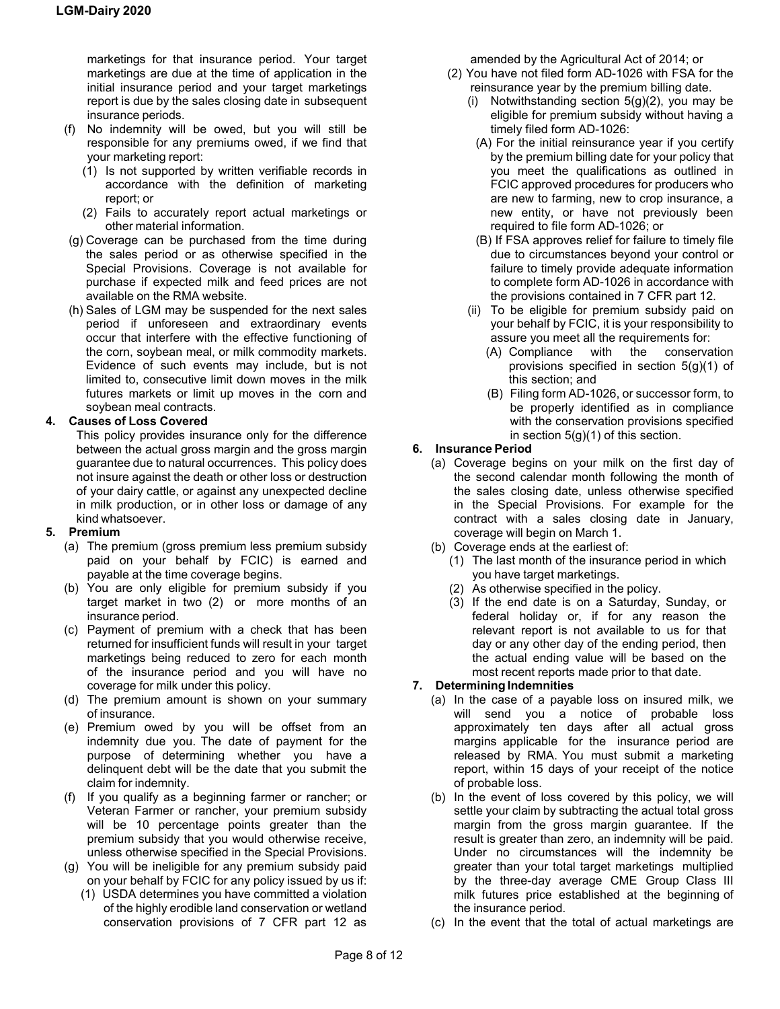marketings for that insurance period. Your target marketings are due at the time of application in the initial insurance period and your target marketings report is due by the sales closing date in subsequent insurance periods.

- (f) No indemnity will be owed, but you will still be responsible for any premiums owed, if we find that your marketing report:
	- (1) Is not supported by written verifiable records in accordance with the definition of marketing report; or
	- (2) Fails to accurately report actual marketings or other material information.
- (g) Coverage can be purchased from the time during the sales period or as otherwise specified in the Special Provisions. Coverage is not available for purchase if expected milk and feed prices are not available on the RMA website.
- (h) Sales of LGM may be suspended for the next sales period if unforeseen and extraordinary events occur that interfere with the effective functioning of the corn, soybean meal, or milk commodity markets. Evidence of such events may include, but is not limited to, consecutive limit down moves in the milk futures markets or limit up moves in the corn and soybean meal contracts.

# **4. Causes of Loss Covered**

This policy provides insurance only for the difference between the actual gross margin and the gross margin guarantee due to natural occurrences. This policy does not insure against the death or other loss or destruction of your dairy cattle, or against any unexpected decline in milk production, or in other loss or damage of any kind whatsoever.

# **5. Premium**

- (a) The premium (gross premium less premium subsidy paid on your behalf by FCIC) is earned and payable at the time coverage begins.
- (b) You are only eligible for premium subsidy if you target market in two (2) or more months of an insurance period.
- (c) Payment of premium with a check that has been returned for insufficient funds will result in your target marketings being reduced to zero for each month of the insurance period and you will have no coverage for milk under this policy.
- (d) The premium amount is shown on your summary of insurance.
- (e) Premium owed by you will be offset from an indemnity due you. The date of payment for the purpose of determining whether you have a delinquent debt will be the date that you submit the claim for indemnity.
- (f) If you qualify as a beginning farmer or rancher; or Veteran Farmer or rancher, your premium subsidy will be 10 percentage points greater than the premium subsidy that you would otherwise receive, unless otherwise specified in the Special Provisions.
- (g) You will be ineligible for any premium subsidy paid on your behalf by FCIC for any policy issued by us if:
	- (1) USDA determines you have committed a violation of the highly erodible land conservation or wetland conservation provisions of 7 CFR part 12 as

amended by the Agricultural Act of 2014; or

- (2) You have not filed form AD-1026 with FSA for the reinsurance year by the premium billing date.
	- (i) Notwithstanding section  $5(g)(2)$ , you may be eligible for premium subsidy without having a timely filed form AD-1026:
	- (A) For the initial reinsurance year if you certify by the premium billing date for your policy that you meet the qualifications as outlined in FCIC approved procedures for producers who are new to farming, new to crop insurance, a new entity, or have not previously been required to file form AD-1026; or
	- (B) If FSA approves relief for failure to timely file due to circumstances beyond your control or failure to timely provide adequate information to complete form AD-1026 in accordance with the provisions contained in 7 CFR part 12.
	- (ii) To be eligible for premium subsidy paid on your behalf by FCIC, it is your responsibility to assure you meet all the requirements for:
		- (A) Compliance with the conservation provisions specified in section 5(g)(1) of this section; and
		- (B) Filing form AD-1026, or successor form, to be properly identified as in compliance with the conservation provisions specified in section  $5(g)(1)$  of this section.

# **6. Insurance Period**

- (a) Coverage begins on your milk on the first day of the second calendar month following the month of the sales closing date, unless otherwise specified in the Special Provisions. For example for the contract with a sales closing date in January, coverage will begin on March 1.
- (b) Coverage ends at the earliest of:
	- (1) The last month of the insurance period in which you have target marketings.
	- (2) As otherwise specified in the policy.
	- (3) If the end date is on a Saturday, Sunday, or federal holiday or, if for any reason the relevant report is not available to us for that day or any other day of the ending period, then the actual ending value will be based on the most recent reports made prior to that date.

# **7. DeterminingIndemnities**

- (a) In the case of a payable loss on insured milk, we will send you a notice of probable loss approximately ten days after all actual gross margins applicable for the insurance period are released by RMA. You must submit a marketing report, within 15 days of your receipt of the notice of probable loss.
- (b) In the event of loss covered by this policy, we will settle your claim by subtracting the actual total gross margin from the gross margin guarantee. If the result is greater than zero, an indemnity will be paid. Under no circumstances will the indemnity be greater than your total target marketings multiplied by the three-day average CME Group Class III milk futures price established at the beginning of the insurance period.
- (c) In the event that the total of actual marketings are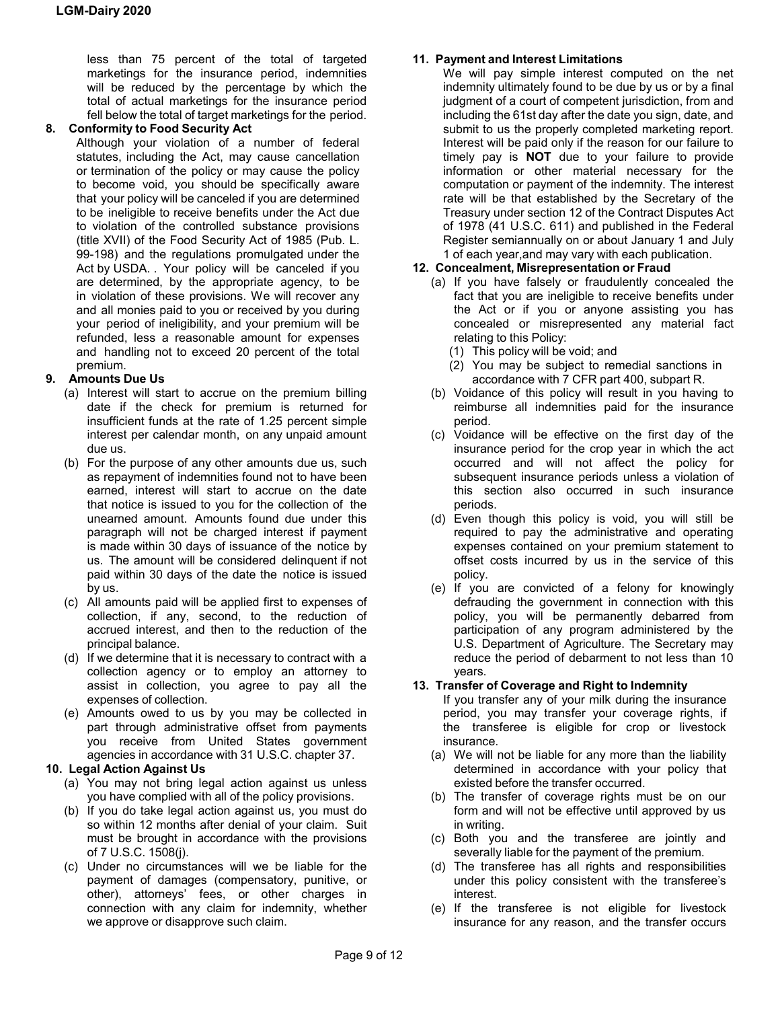less than 75 percent of the total of targeted marketings for the insurance period, indemnities will be reduced by the percentage by which the total of actual marketings for the insurance period fell below the total of target marketings for the period.

# **8. Conformity to Food Security Act**

Although your violation of a number of federal statutes, including the Act, may cause cancellation or termination of the policy or may cause the policy to become void, you should be specifically aware that your policy will be canceled if you are determined to be ineligible to receive benefits under the Act due to violation of the controlled substance provisions (title XVII) of the Food Security Act of 1985 (Pub. L. 99-198) and the regulations promulgated under the Act by USDA. . Your policy will be canceled if you are determined, by the appropriate agency, to be in violation of these provisions. We will recover any and all monies paid to you or received by you during your period of ineligibility, and your premium will be refunded, less a reasonable amount for expenses and handling not to exceed 20 percent of the total premium.

# **9. Amounts Due Us**

- (a) Interest will start to accrue on the premium billing date if the check for premium is returned for insufficient funds at the rate of 1.25 percent simple interest per calendar month, on any unpaid amount due us.
- (b) For the purpose of any other amounts due us, such as repayment of indemnities found not to have been earned, interest will start to accrue on the date that notice is issued to you for the collection of the unearned amount. Amounts found due under this paragraph will not be charged interest if payment is made within 30 days of issuance of the notice by us. The amount will be considered delinquent if not paid within 30 days of the date the notice is issued by us.
- (c) All amounts paid will be applied first to expenses of collection, if any, second, to the reduction of accrued interest, and then to the reduction of the principal balance.
- (d) If we determine that it is necessary to contract with a collection agency or to employ an attorney to assist in collection, you agree to pay all the expenses of collection.
- (e) Amounts owed to us by you may be collected in part through administrative offset from payments you receive from United States government agencies in accordance with 31 U.S.C. chapter 37.

# **10. Legal Action Against Us**

- (a) You may not bring legal action against us unless you have complied with all of the policy provisions.
- (b) If you do take legal action against us, you must do so within 12 months after denial of your claim. Suit must be brought in accordance with the provisions of 7 U.S.C. 1508(j).
- (c) Under no circumstances will we be liable for the payment of damages (compensatory, punitive, or other), attorneys' fees, or other charges in connection with any claim for indemnity, whether we approve or disapprove such claim.

### **11. Payment and Interest Limitations**

We will pay simple interest computed on the net indemnity ultimately found to be due by us or by a final judgment of a court of competent jurisdiction, from and including the 61st day after the date you sign, date, and submit to us the properly completed marketing report. Interest will be paid only if the reason for our failure to timely pay is **NOT** due to your failure to provide information or other material necessary for the computation or payment of the indemnity. The interest rate will be that established by the Secretary of the Treasury under section 12 of the Contract Disputes Act of 1978 (41 U.S.C. 611) and published in the Federal Register semiannually on or about January 1 and July 1 of each year,and may vary with each publication.

#### **12. Concealment, Misrepresentation or Fraud**

- (a) If you have falsely or fraudulently concealed the fact that you are ineligible to receive benefits under the Act or if you or anyone assisting you has concealed or misrepresented any material fact relating to this Policy:
	- (1) This policy will be void; and
	- (2) You may be subject to remedial sanctions in accordance with 7 CFR part 400, subpart R.
- (b) Voidance of this policy will result in you having to reimburse all indemnities paid for the insurance period.
- (c) Voidance will be effective on the first day of the insurance period for the crop year in which the act occurred and will not affect the policy for subsequent insurance periods unless a violation of this section also occurred in such insurance periods.
- (d) Even though this policy is void, you will still be required to pay the administrative and operating expenses contained on your premium statement to offset costs incurred by us in the service of this policy.
- (e) If you are convicted of a felony for knowingly defrauding the government in connection with this policy, you will be permanently debarred from participation of any program administered by the U.S. Department of Agriculture. The Secretary may reduce the period of debarment to not less than 10 years.

#### **13. Transfer of Coverage and Right to Indemnity**

- If you transfer any of your milk during the insurance period, you may transfer your coverage rights, if the transferee is eligible for crop or livestock insurance.
- (a) We will not be liable for any more than the liability determined in accordance with your policy that existed before the transfer occurred.
- (b) The transfer of coverage rights must be on our form and will not be effective until approved by us in writing.
- (c) Both you and the transferee are jointly and severally liable for the payment of the premium.
- (d) The transferee has all rights and responsibilities under this policy consistent with the transferee's interest.
- (e) If the transferee is not eligible for livestock insurance for any reason, and the transfer occurs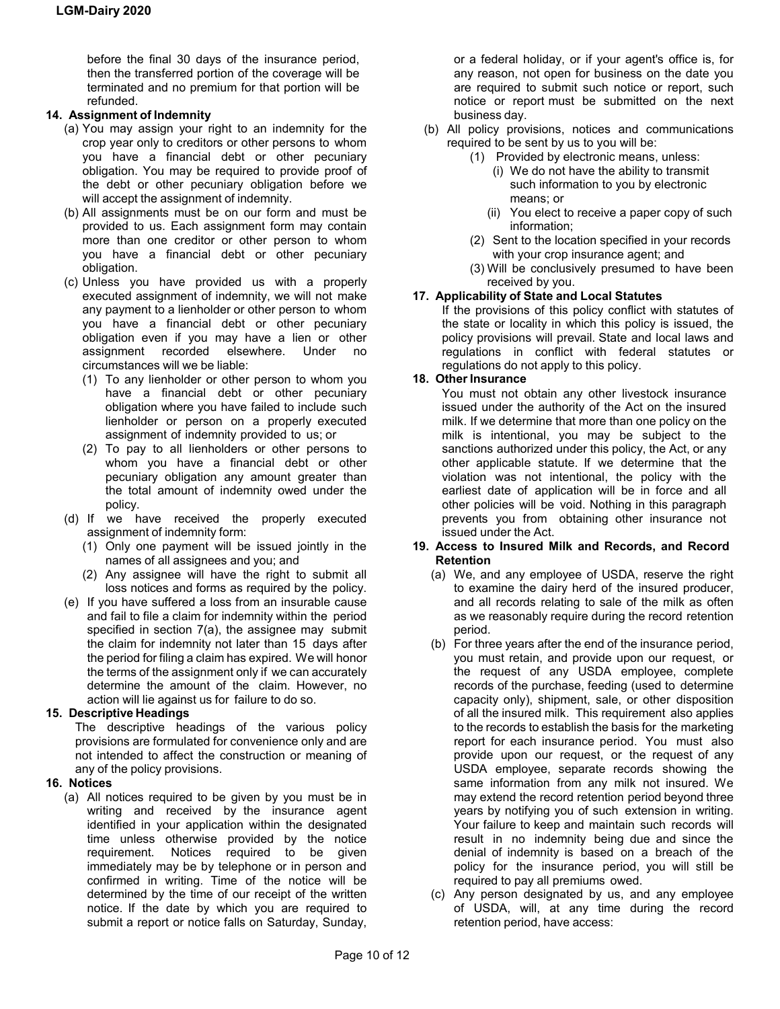before the final 30 days of the insurance period, then the transferred portion of the coverage will be terminated and no premium for that portion will be refunded.

# **14. Assignment of Indemnity**

- (a) You may assign your right to an indemnity for the crop year only to creditors or other persons to whom you have a financial debt or other pecuniary obligation. You may be required to provide proof of the debt or other pecuniary obligation before we will accept the assignment of indemnity.
- (b) All assignments must be on our form and must be provided to us. Each assignment form may contain more than one creditor or other person to whom you have a financial debt or other pecuniary obligation.
- (c) Unless you have provided us with a properly executed assignment of indemnity, we will not make any payment to a lienholder or other person to whom you have a financial debt or other pecuniary obligation even if you may have a lien or other assignment recorded elsewhere. Under no circumstances will we be liable:
	- (1) To any lienholder or other person to whom you have a financial debt or other pecuniary obligation where you have failed to include such lienholder or person on a properly executed assignment of indemnity provided to us; or
	- (2) To pay to all lienholders or other persons to whom you have a financial debt or other pecuniary obligation any amount greater than the total amount of indemnity owed under the policy.
- (d) If we have received the properly executed assignment of indemnity form:
	- (1) Only one payment will be issued jointly in the names of all assignees and you; and
	- (2) Any assignee will have the right to submit all loss notices and forms as required by the policy.
- (e) If you have suffered a loss from an insurable cause and fail to file a claim for indemnity within the period specified in section 7(a), the assignee may submit the claim for indemnity not later than 15 days after the period for filing a claim has expired. We will honor the terms of the assignment only if we can accurately determine the amount of the claim. However, no action will lie against us for failure to do so.

# **15. Descriptive Headings**

The descriptive headings of the various policy provisions are formulated for convenience only and are not intended to affect the construction or meaning of any of the policy provisions.

# **16. Notices**

(a) All notices required to be given by you must be in writing and received by the insurance agent identified in your application within the designated time unless otherwise provided by the notice requirement. Notices required to be given immediately may be by telephone or in person and confirmed in writing. Time of the notice will be determined by the time of our receipt of the written notice. If the date by which you are required to submit a report or notice falls on Saturday, Sunday,

or a federal holiday, or if your agent's office is, for any reason, not open for business on the date you are required to submit such notice or report, such notice or report must be submitted on the next business day.

- (b) All policy provisions, notices and communications required to be sent by us to you will be:
	- (1) Provided by electronic means, unless:
		- (i) We do not have the ability to transmit such information to you by electronic means; or
		- (ii) You elect to receive a paper copy of such information;
	- (2) Sent to the location specified in your records with your crop insurance agent; and
	- (3) Will be conclusively presumed to have been received by you.

# **17. Applicability of State and Local Statutes**

If the provisions of this policy conflict with statutes of the state or locality in which this policy is issued, the policy provisions will prevail. State and local laws and regulations in conflict with federal statutes or regulations do not apply to this policy.

# **18. Other Insurance**

You must not obtain any other livestock insurance issued under the authority of the Act on the insured milk. If we determine that more than one policy on the milk is intentional, you may be subject to the sanctions authorized under this policy, the Act, or any other applicable statute. If we determine that the violation was not intentional, the policy with the earliest date of application will be in force and all other policies will be void. Nothing in this paragraph prevents you from obtaining other insurance not issued under the Act.

#### **19. Access to Insured Milk and Records, and Record Retention**

- (a) We, and any employee of USDA, reserve the right to examine the dairy herd of the insured producer, and all records relating to sale of the milk as often as we reasonably require during the record retention period.
- (b) For three years after the end of the insurance period, you must retain, and provide upon our request, or the request of any USDA employee, complete records of the purchase, feeding (used to determine capacity only), shipment, sale, or other disposition of all the insured milk. This requirement also applies to the records to establish the basis for the marketing report for each insurance period. You must also provide upon our request, or the request of any USDA employee, separate records showing the same information from any milk not insured. We may extend the record retention period beyond three years by notifying you of such extension in writing. Your failure to keep and maintain such records will result in no indemnity being due and since the denial of indemnity is based on a breach of the policy for the insurance period, you will still be required to pay all premiums owed.
- (c) Any person designated by us, and any employee of USDA, will, at any time during the record retention period, have access: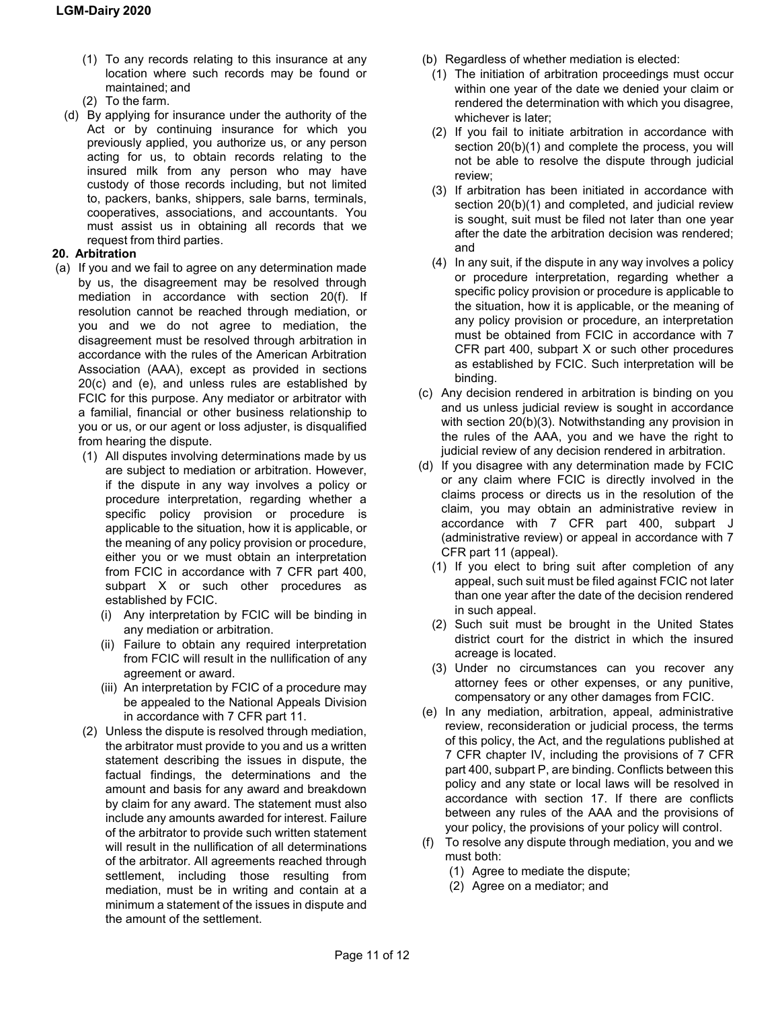- (1) To any records relating to this insurance at any location where such records may be found or maintained; and
- (2) To the farm.
- (d) By applying for insurance under the authority of the Act or by continuing insurance for which you previously applied, you authorize us, or any person acting for us, to obtain records relating to the insured milk from any person who may have custody of those records including, but not limited to, packers, banks, shippers, sale barns, terminals, cooperatives, associations, and accountants. You must assist us in obtaining all records that we request from third parties.

#### **20. Arbitration**

- (a) If you and we fail to agree on any determination made by us, the disagreement may be resolved through mediation in accordance with section 20(f). If resolution cannot be reached through mediation, or you and we do not agree to mediation, the disagreement must be resolved through arbitration in accordance with the rules of the American Arbitration Association (AAA), except as provided in sections 20(c) and (e), and unless rules are established by FCIC for this purpose. Any mediator or arbitrator with a familial, financial or other business relationship to you or us, or our agent or loss adjuster, is disqualified from hearing the dispute.
	- (1) All disputes involving determinations made by us are subject to mediation or arbitration. However, if the dispute in any way involves a policy or procedure interpretation, regarding whether a specific policy provision or procedure is applicable to the situation, how it is applicable, or the meaning of any policy provision or procedure, either you or we must obtain an interpretation from FCIC in accordance with 7 CFR part 400, subpart X or such other procedures as established by FCIC.
		- (i) Any interpretation by FCIC will be binding in any mediation or arbitration.
		- (ii) Failure to obtain any required interpretation from FCIC will result in the nullification of any agreement or award.
		- (iii) An interpretation by FCIC of a procedure may be appealed to the National Appeals Division in accordance with 7 CFR part 11.
	- (2) Unless the dispute is resolved through mediation, the arbitrator must provide to you and us a written statement describing the issues in dispute, the factual findings, the determinations and the amount and basis for any award and breakdown by claim for any award. The statement must also include any amounts awarded for interest. Failure of the arbitrator to provide such written statement will result in the nullification of all determinations of the arbitrator. All agreements reached through settlement, including those resulting from mediation, must be in writing and contain at a minimum a statement of the issues in dispute and the amount of the settlement.
- (b) Regardless of whether mediation is elected:
	- (1) The initiation of arbitration proceedings must occur within one year of the date we denied your claim or rendered the determination with which you disagree, whichever is later;
	- (2) If you fail to initiate arbitration in accordance with section 20(b)(1) and complete the process, you will not be able to resolve the dispute through judicial review;
	- (3) If arbitration has been initiated in accordance with section 20(b)(1) and completed, and judicial review is sought, suit must be filed not later than one year after the date the arbitration decision was rendered; and
	- (4) In any suit, if the dispute in any way involves a policy or procedure interpretation, regarding whether a specific policy provision or procedure is applicable to the situation, how it is applicable, or the meaning of any policy provision or procedure, an interpretation must be obtained from FCIC in accordance with 7 CFR part 400, subpart X or such other procedures as established by FCIC. Such interpretation will be binding.
- (c) Any decision rendered in arbitration is binding on you and us unless judicial review is sought in accordance with section 20(b)(3). Notwithstanding any provision in the rules of the AAA, you and we have the right to judicial review of any decision rendered in arbitration.
- (d) If you disagree with any determination made by FCIC or any claim where FCIC is directly involved in the claims process or directs us in the resolution of the claim, you may obtain an administrative review in accordance with 7 CFR part 400, subpart J (administrative review) or appeal in accordance with 7 CFR part 11 (appeal).
	- (1) If you elect to bring suit after completion of any appeal, such suit must be filed against FCIC not later than one year after the date of the decision rendered in such appeal.
	- (2) Such suit must be brought in the United States district court for the district in which the insured acreage is located.
	- (3) Under no circumstances can you recover any attorney fees or other expenses, or any punitive, compensatory or any other damages from FCIC.
- (e) In any mediation, arbitration, appeal, administrative review, reconsideration or judicial process, the terms of this policy, the Act, and the regulations published at 7 CFR chapter IV, including the provisions of 7 CFR part 400, subpart P, are binding. Conflicts between this policy and any state or local laws will be resolved in accordance with section 17. If there are conflicts between any rules of the AAA and the provisions of your policy, the provisions of your policy will control.
- (f) To resolve any dispute through mediation, you and we must both:
	- (1) Agree to mediate the dispute;
	- (2) Agree on a mediator; and